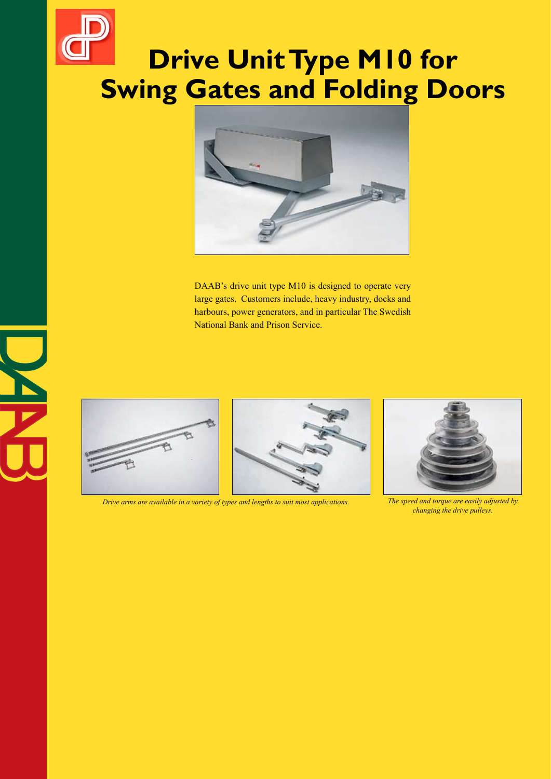# **Drive Unit Type M10 for Swing Gates and Folding Doors**



DAAB's drive unit type M10 is designed to operate very large gates. Customers include, heavy industry, docks and harbours, power generators, and in particular The Swedish National Bank and Prison Service.





*Drive arms are available in a variety of types and lengths to suit most applications. The speed and torque are easily adjusted by* 



*changing the drive pulleys.*